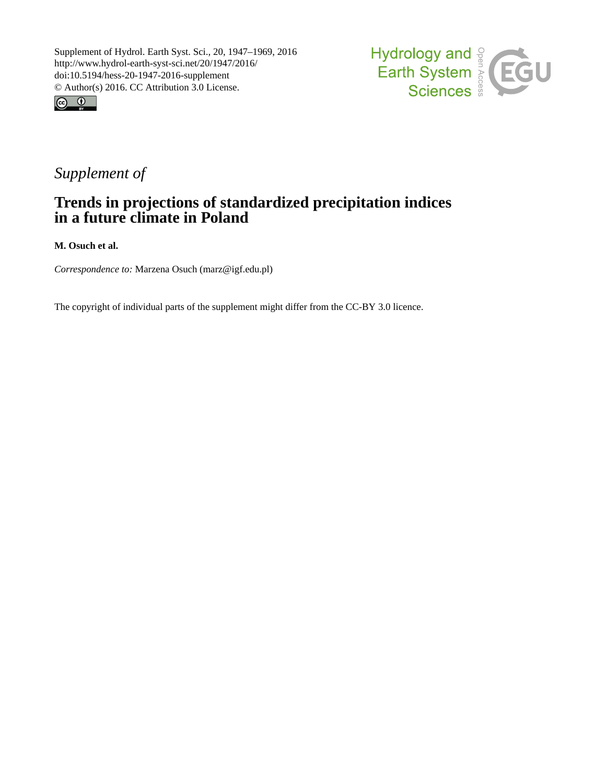



## *Supplement of*

## **Trends in projections of standardized precipitation indices in a future climate in Poland**

**M. Osuch et al.**

*Correspondence to:* Marzena Osuch (marz@igf.edu.pl)

The copyright of individual parts of the supplement might differ from the CC-BY 3.0 licence.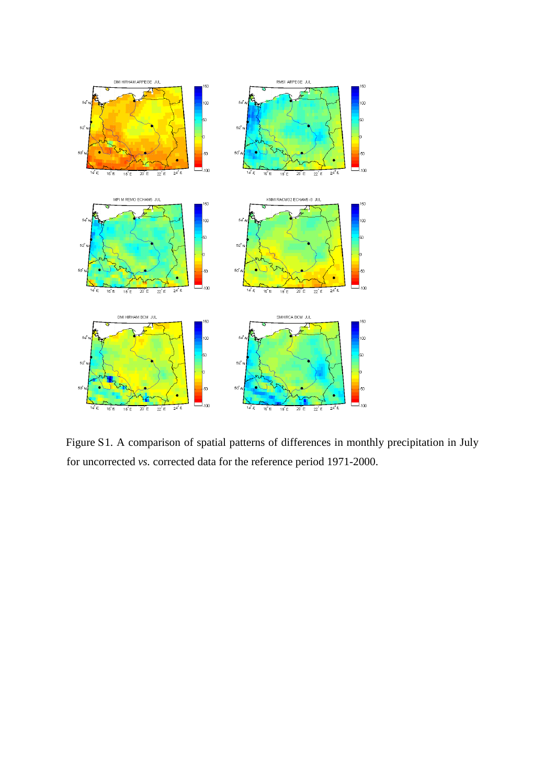

Figure S1. A comparison of spatial patterns of differences in monthly precipitation in July for uncorrected *vs.* corrected data for the reference period 1971-2000.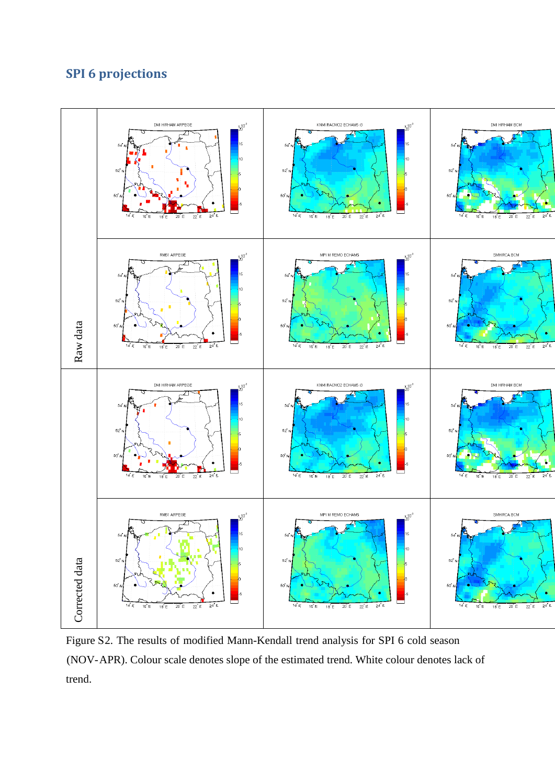## **SPI 6 projections**



Figure S2. The results of modified Mann-Kendall trend analysis for SPI 6 cold season (NOV-APR). Colour scale denotes slope of the estimated trend. White colour denotes lack of trend.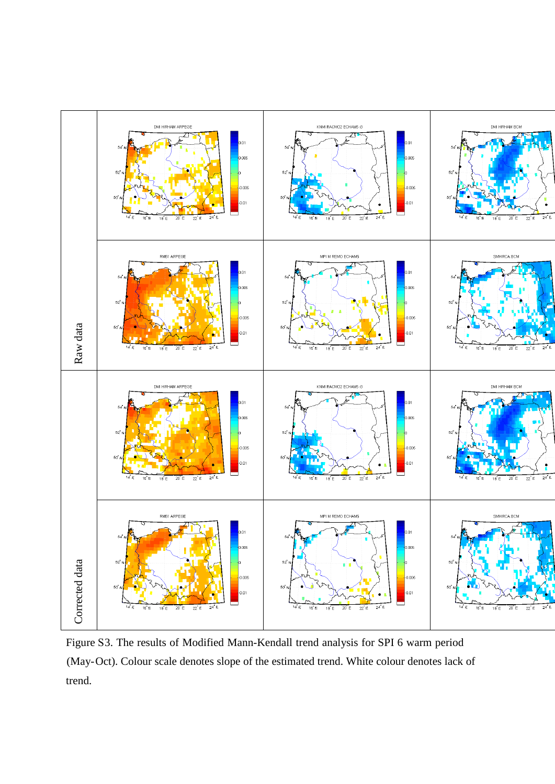

Figure S3. The results of Modified Mann-Kendall trend analysis for SPI 6 warm period (May-Oct). Colour scale denotes slope of the estimated trend. White colour denotes lack of trend.